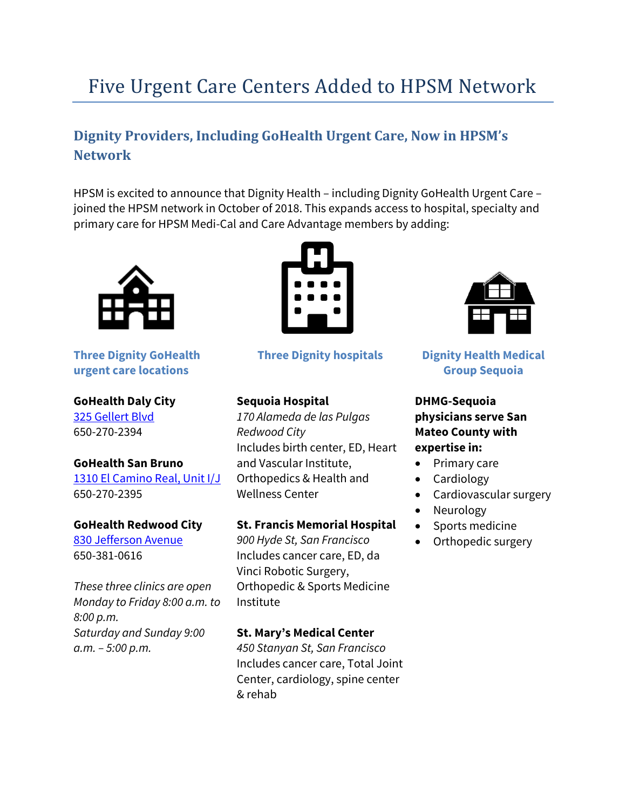# Five Urgent Care Centers Added to HPSM Network

## **Dignity Providers, Including GoHealth Urgent Care, Now in HPSM's Network**

HPSM is excited to announce that Dignity Health – including Dignity GoHealth Urgent Care – joined the HPSM network in October of 2018. This expands access to hospital, specialty and primary care for HPSM Medi-Cal and Care Advantage members by adding:



**Three Dignity GoHealth urgent care locations**

**GoHealth Daly City**  [325 Gellert Blvd](https://www.google.com/maps/place/Dignity+Health-GoHealth+Urgent+Care+%E2%80%93+Daly+City/@37.656669,-122.464306,15z/data=!4m12!1m6!3m5!1s0x808f7becb8eb0f3b:0xba7724af4ea40290!2sDignity+Health-GoHealth+Urgent+Care+%E2%80%93+Daly+City!8m2!3d37.6675343!4d-122.4684271!3m4!1s0x0:0xba7724af4ea40290!8m2!3d37.6675502!4d-122.4684191?authuser=2) 650-270-2394

#### **GoHealth San Bruno**

[1310 El Camino Real, Unit I/J](https://www.google.com/maps/place/Dignity+Health-GoHealth+Urgent+Care/@37.6397798,-122.4249966,17z/data=!3m1!4b1!4m5!3m4!1s0x808f79be4a1c7f6f:0xb685f79f3091e0e2!8m2!3d37.6402028!4d-122.4225337) [650-270-2395](tel:650.270.2395)

#### **GoHealth Redwood City**

[830 Jefferson Avenue](https://www.google.com/maps/place/Dignity+Health-GoHealth+Urgent+Care/@37.4856794,-122.2307699,17z/data=!3m1!4b1!4m5!3m4!1s0x808fa3acd9c632d1:0xf457d567485a320!8m2!3d37.4856794!4d-122.2285759) 650-381-0616

*These three clinics are open Monday to Friday 8:00 a.m. to 8:00 p.m. Saturday and Sunday 9:00 a.m. – 5:00 p.m.*



**Three Dignity hospitals**

#### **Sequoia Hospital**

*170 Alameda de las Pulgas Redwood City* Includes birth center, ED, Heart and Vascular Institute, Orthopedics & Health and Wellness Center

#### **St. Francis Memorial Hospital**

*900 Hyde St, San Francisco* Includes cancer care, ED, da Vinci Robotic Surgery, Orthopedic & Sports Medicine Institute

#### **St. Mary's Medical Center**

*450 Stanyan St, San Francisco* Includes cancer care, Total Joint Center, cardiology, spine center & rehab



#### **Dignity Health Medical Group Sequoia**

#### **DHMG-Sequoia physicians serve San Mateo County with expertise in:**

- Primary care
- Cardiology
- Cardiovascular surgery
- Neurology
- Sports medicine
- Orthopedic surgery